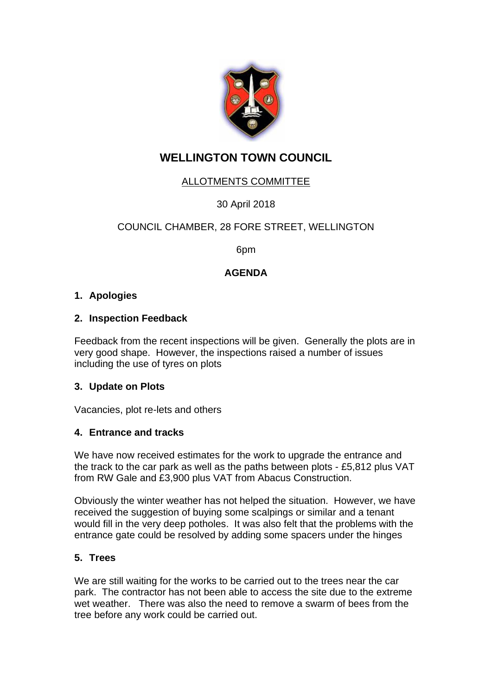

# **WELLINGTON TOWN COUNCIL**

## ALLOTMENTS COMMITTEE

30 April 2018

## COUNCIL CHAMBER, 28 FORE STREET, WELLINGTON

6pm

## **AGENDA**

## **1. Apologies**

## **2. Inspection Feedback**

Feedback from the recent inspections will be given. Generally the plots are in very good shape. However, the inspections raised a number of issues including the use of tyres on plots

#### **3. Update on Plots**

Vacancies, plot re-lets and others

#### **4. Entrance and tracks**

We have now received estimates for the work to upgrade the entrance and the track to the car park as well as the paths between plots - £5,812 plus VAT from RW Gale and £3,900 plus VAT from Abacus Construction.

Obviously the winter weather has not helped the situation. However, we have received the suggestion of buying some scalpings or similar and a tenant would fill in the very deep potholes. It was also felt that the problems with the entrance gate could be resolved by adding some spacers under the hinges

#### **5. Trees**

We are still waiting for the works to be carried out to the trees near the car park. The contractor has not been able to access the site due to the extreme wet weather. There was also the need to remove a swarm of bees from the tree before any work could be carried out.